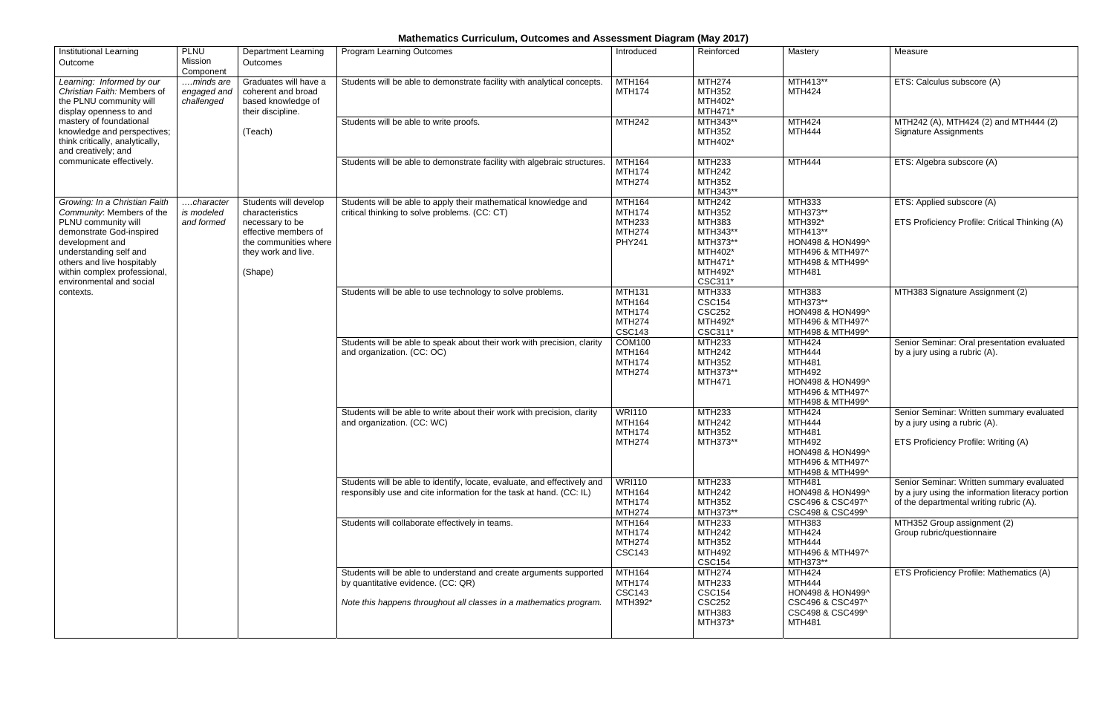## **Mathematics Curriculum, Outcomes and Assessment Diagram (May 2017)**

|                                                                                                          |                                                                                                                                                                                                                                                                                                                                                                                                                                                                                                                                                                           |                                                                                             | Mastery                                                                                                      | Measure                                                                                                                                  |
|----------------------------------------------------------------------------------------------------------|---------------------------------------------------------------------------------------------------------------------------------------------------------------------------------------------------------------------------------------------------------------------------------------------------------------------------------------------------------------------------------------------------------------------------------------------------------------------------------------------------------------------------------------------------------------------------|---------------------------------------------------------------------------------------------|--------------------------------------------------------------------------------------------------------------|------------------------------------------------------------------------------------------------------------------------------------------|
| Students will be able to demonstrate facility with analytical concepts.                                  | <b>MTH164</b><br><b>MTH174</b>                                                                                                                                                                                                                                                                                                                                                                                                                                                                                                                                            | <b>MTH274</b><br>MTH352<br>MTH402*<br>MTH471*                                               | MTH413**<br><b>MTH424</b>                                                                                    | ETS: Calculus subscore (A)                                                                                                               |
| Students will be able to write proofs.                                                                   | <b>MTH242</b>                                                                                                                                                                                                                                                                                                                                                                                                                                                                                                                                                             | MTH343**<br>MTH352<br>MTH402*                                                               | <b>MTH424</b><br><b>MTH444</b>                                                                               | MTH242 (A), MTH424 (2) and MTH444 (2)<br><b>Signature Assignments</b>                                                                    |
| Students will be able to demonstrate facility with algebraic structures.                                 | <b>MTH164</b><br><b>MTH174</b><br><b>MTH274</b>                                                                                                                                                                                                                                                                                                                                                                                                                                                                                                                           | <b>MTH233</b><br><b>MTH242</b><br>MTH352<br>MTH343**                                        | <b>MTH444</b>                                                                                                | ETS: Algebra subscore (A)                                                                                                                |
| critical thinking to solve problems. (CC: CT)                                                            | <b>MTH174</b><br><b>MTH233</b><br><b>MTH274</b><br><b>PHY241</b>                                                                                                                                                                                                                                                                                                                                                                                                                                                                                                          | MTH352<br>MTH383<br>MTH343**<br>MTH373**<br>MTH402*<br>MTH471*<br>MTH492*                   | MTH373**<br>MTH392*<br>MTH413**<br>HON498 & HON499^<br>MTH496 & MTH497^<br>MTH498 & MTH499^<br><b>MTH481</b> | ETS: Applied subscore (A)<br>ETS Proficiency Profile: Critical Thinking (A)                                                              |
| Students will be able to use technology to solve problems.                                               | <b>MTH131</b><br><b>MTH164</b><br><b>MTH174</b><br><b>MTH274</b><br><b>CSC143</b>                                                                                                                                                                                                                                                                                                                                                                                                                                                                                         | MTH333<br><b>CSC154</b><br><b>CSC252</b><br>MTH492*<br>CSC311*                              | <b>MTH383</b><br>MTH373**<br>HON498 & HON499^<br>MTH496 & MTH497^<br>MTH498 & MTH499^                        | MTH383 Signature Assignment (2)                                                                                                          |
| and organization. (CC: OC)                                                                               | MTH164<br><b>MTH174</b><br><b>MTH274</b>                                                                                                                                                                                                                                                                                                                                                                                                                                                                                                                                  | <b>MTH242</b><br>MTH352<br>MTH373**<br><b>MTH471</b>                                        | <b>MTH444</b><br><b>MTH481</b><br><b>MTH492</b><br>HON498 & HON499^<br>MTH496 & MTH497^<br>MTH498 & MTH499^  | Senior Seminar: Oral presentation evaluated<br>by a jury using a rubric (A).                                                             |
| and organization. (CC: WC)                                                                               | <b>MTH164</b><br><b>MTH174</b><br><b>MTH274</b>                                                                                                                                                                                                                                                                                                                                                                                                                                                                                                                           | <b>MTH242</b><br><b>MTH352</b><br>MTH373**                                                  | <b>MTH444</b><br><b>MTH481</b><br><b>MTH492</b><br>HON498 & HON499^<br>MTH496 & MTH497^<br>MTH498 & MTH499^  | Senior Seminar: Written summary evaluated<br>by a jury using a rubric (A).<br>ETS Proficiency Profile: Writing (A)                       |
| responsibly use and cite information for the task at hand. (CC: IL)                                      | MTH164<br><b>MTH174</b><br><b>MTH274</b>                                                                                                                                                                                                                                                                                                                                                                                                                                                                                                                                  | <b>MTH242</b><br><b>MTH352</b><br>MTH373**                                                  | HON498 & HON499^<br>CSC496 & CSC497^<br>CSC498 & CSC499^                                                     | Senior Seminar: Written summary evaluated<br>by a jury using the information literacy portion<br>of the departmental writing rubric (A). |
|                                                                                                          | <b>MTH174</b><br><b>MTH274</b><br><b>CSC143</b>                                                                                                                                                                                                                                                                                                                                                                                                                                                                                                                           | <b>MTH242</b><br>MTH352<br><b>MTH492</b><br><b>CSC154</b>                                   | <b>MTH383</b><br><b>MTH424</b><br><b>MTH444</b><br>MTH496 & MTH497^<br>MTH373**                              | MTH352 Group assignment (2)<br>Group rubric/questionnaire                                                                                |
| by quantitative evidence. (CC: QR)<br>Note this happens throughout all classes in a mathematics program. | <b>MTH174</b><br><b>CSC143</b><br>MTH392*                                                                                                                                                                                                                                                                                                                                                                                                                                                                                                                                 | MTH233<br><b>CSC154</b><br><b>CSC252</b><br><b>MTH383</b><br>MTH373*                        | <b>MTH444</b><br>HON498 & HON499^<br>CSC496 & CSC497^<br>CSC498 & CSC499^<br><b>MTH481</b>                   | ETS Proficiency Profile: Mathematics (A)                                                                                                 |
| they work and live.                                                                                      | Graduates will have a<br>coherent and broad<br>based knowledge of<br>Students will develop<br>Students will be able to apply their mathematical knowledge and<br>effective members of<br>the communities where<br>Students will be able to speak about their work with precision, clarity<br>Students will be able to write about their work with precision, clarity<br>Students will be able to identify, locate, evaluate, and effectively and<br>Students will collaborate effectively in teams.<br>Students will be able to understand and create arguments supported | MTH164<br><b>COM100</b><br><b>WRI110</b><br><b>WRI110</b><br><b>MTH164</b><br><b>MTH164</b> | <b>MTH242</b><br>CSC311*<br><b>MTH233</b><br>MTH233<br><b>MTH233</b><br><b>MTH233</b><br><b>MTH274</b>       | MTH333<br><b>MTH424</b><br><b>MTH424</b><br><b>MTH481</b><br><b>MTH424</b>                                                               |